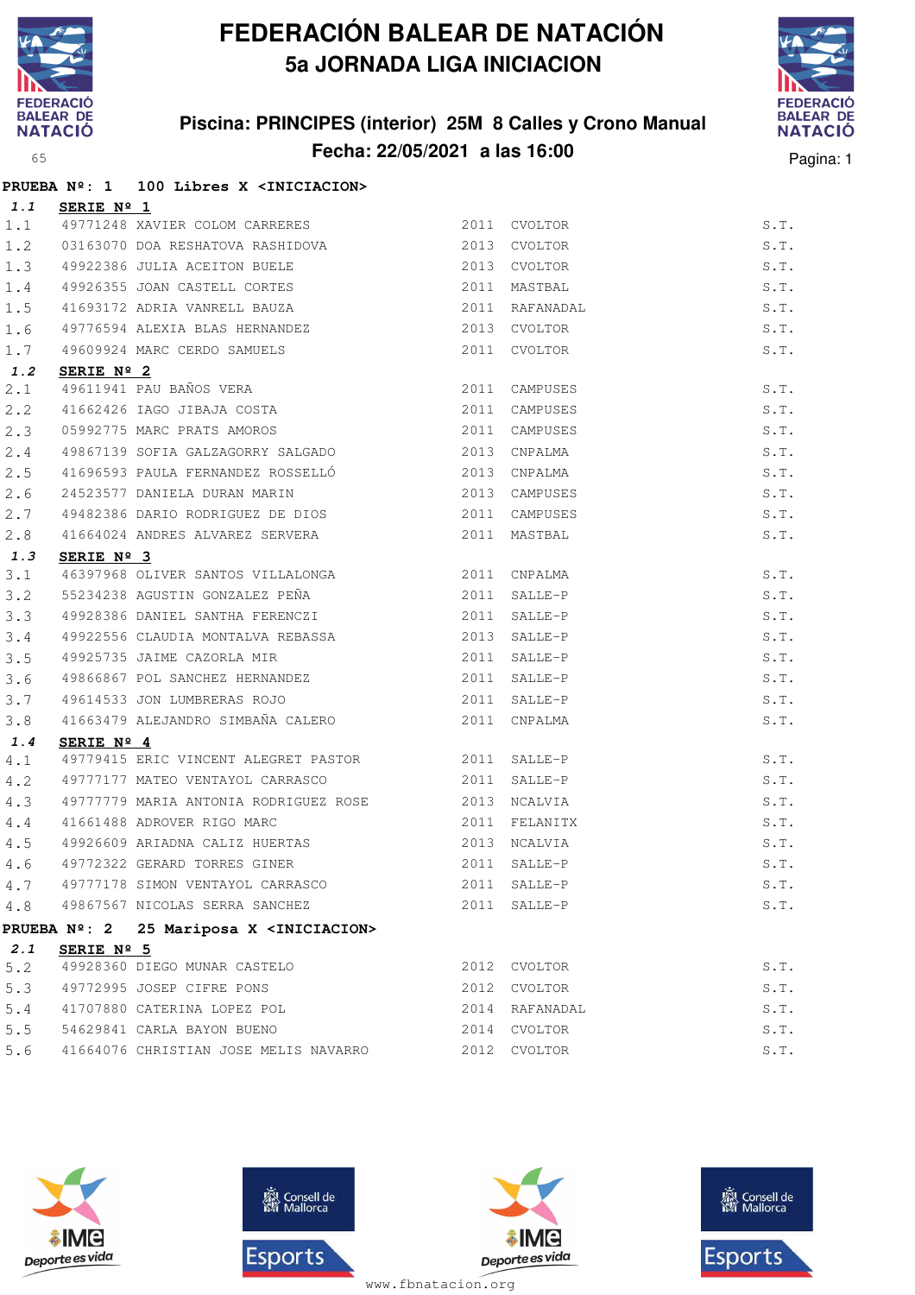

## **FEDERACIÓN BALEAR DE NATACIÓN 5a JORNADA LIGA INICIACION**

## **Piscina: PRINCIPES (interior) 25M 8 Calles y Crono Manual Fecha: 22/05/2021 a las 16:00** Pagina: 1



|     |                     | PRUEBA Nº: 1 100 Libres X <iniciacion></iniciacion>                                          |               |                |      |
|-----|---------------------|----------------------------------------------------------------------------------------------|---------------|----------------|------|
| 1.1 | SERIE $N^{\circ}$ 1 |                                                                                              |               |                |      |
| 1.1 |                     | 49771248 XAVIER COLOM CARRERES 2011 CVOLTOR                                                  |               |                | S.T. |
| 1.2 |                     | 03163070 DOA RESHATOVA RASHIDOVA 2013 CVOLTOR                                                |               |                | S.T. |
| 1.3 |                     |                                                                                              |               | 2013 CVOLTOR   | S.T. |
| 1.4 |                     |                                                                                              |               | 2011 MASTBAL   | S.T. |
| 1.5 |                     | 49922386 JULIA ACEITON BUELE<br>49926355 JOAN CASTELL CORTES<br>41693172 ADRIA VANRELL BAUZA | 2011          | RAFANADAL      | S.T. |
| 1.6 |                     | 49776594 ALEXIA BLAS HERNANDEZ                                                               |               | 2013 CVOLTOR   | S.T. |
| 1.7 |                     | 49609924 MARC CERDO SAMUELS                                                                  |               | 2011 CVOLTOR   | S.T. |
| 1.2 | SERIE Nº 2          |                                                                                              |               |                |      |
| 2.1 |                     | 49611941 PAU BAÑOS VERA<br>41662426 IAGO JIBAJA COSTA                                        |               | 2011 CAMPUSES  | S.T. |
| 2.2 |                     |                                                                                              |               | 2011 CAMPUSES  | S.T. |
| 2.3 |                     | 05992775 MARC PRATS AMOROS<br>49867139 SOFIA GALZAGORRY SALGADO                              | 2011 CAMPUSES |                | S.T. |
| 2.4 |                     |                                                                                              |               | 2013 CNPALMA   | S.T. |
| 2.5 |                     | 41696593 PAULA FERNANDEZ ROSSELLÓ<br>2013 CNPALMA                                            |               |                | S.T. |
| 2.6 |                     | 24523577 DANIELA DURAN MARIN 2013 CAMPUSES                                                   |               |                | S.T. |
| 2.7 |                     | 49482386 DARIO RODRIGUEZ DE DIOS 2011 CAMPUSES                                               |               |                | S.T. |
| 2.8 |                     | 41664024 ANDRES ALVAREZ SERVERA                                                              |               | 2011 MASTBAL   | S.T. |
| 1.3 | SERIE $N^{\circ}$ 3 |                                                                                              |               |                |      |
| 3.1 |                     | 46397968 OLIVER SANTOS VILLALONGA<br>$$\tt 2011$$ CNPALMA                                    |               |                | S.T. |
| 3.2 |                     | 55234238 AGUSTIN GONZALEZ PEÑA (2011 SALLE-P                                                 |               |                | S.T. |
| 3.3 |                     | 49928386 DANIEL SANTHA FERENCZI                                                              |               | 2011 SALLE-P   | S.T. |
| 3.4 |                     | 49922556 CLAUDIA MONTALVA REBASSA                                                            |               | 2013 SALLE-P   | S.T. |
| 3.5 |                     | 49925735 JAIME CAZORLA MIR 2011 SALLE-P                                                      |               |                | S.T. |
| 3.6 |                     | 49866867 POL SANCHEZ HERNANDEZ 2011 SALLE-P                                                  |               |                | S.T. |
| 3.7 |                     |                                                                                              |               | 2011 SALLE-P   | S.T. |
| 3.8 |                     |                                                                                              |               |                | S.T. |
| 1.4 | SERIE Nº 4          |                                                                                              |               |                |      |
| 4.1 |                     | 49779415 ERIC VINCENT ALEGRET PASTOR 2011 SALLE-P                                            |               |                | S.T. |
| 4.2 |                     | 49777177 MATEO VENTAYOL CARRASCO 2011                                                        |               | SALLE-P        | S.T. |
| 4.3 |                     | 49777779 MARIA ANTONIA RODRIGUEZ ROSE                                                        |               | 2013 NCALVIA   | S.T. |
| 4.4 |                     | 41661488 ADROVER RIGO MARC                                                                   |               | 2011 FELANITX  | S.T. |
| 4.5 |                     |                                                                                              |               |                | S.T. |
|     |                     | 4.6 49772322 GERARD TORRES GINER 2011 SALLE-P                                                |               |                | S.T. |
| 4.7 |                     | 49777178 SIMON VENTAYOL CARRASCO                                                             |               | 2011 SALLE-P   | S.T. |
|     |                     | 4.8 49867567 NICOLAS SERRA SANCHEZ                                                           |               | 2011 SALLE-P   | S.T. |
|     |                     | PRUEBA Nº: 2 25 Mariposa X <iniciacion></iniciacion>                                         |               |                |      |
| 2.1 | SERIE Nº 5          |                                                                                              |               |                |      |
| 5.2 |                     | 49928360 DIEGO MUNAR CASTELO                                                                 |               | 2012 CVOLTOR   | S.T. |
| 5.3 |                     | 49772995 JOSEP CIFRE PONS                                                                    |               | 2012 CVOLTOR   | S.T. |
|     |                     | 5.4 41707880 CATERINA LOPEZ POL                                                              |               | 2014 RAFANADAL | S.T. |
|     |                     | 5.5 54629841 CARLA BAYON BUENO                                                               |               | 2014 CVOLTOR   | S.T. |
| 5.6 |                     | 41664076 CHRISTIAN JOSE MELIS NAVARRO                                                        |               | 2012 CVOLTOR   | S.T. |







**感** Consell de Esports

www.fbnatacion.org